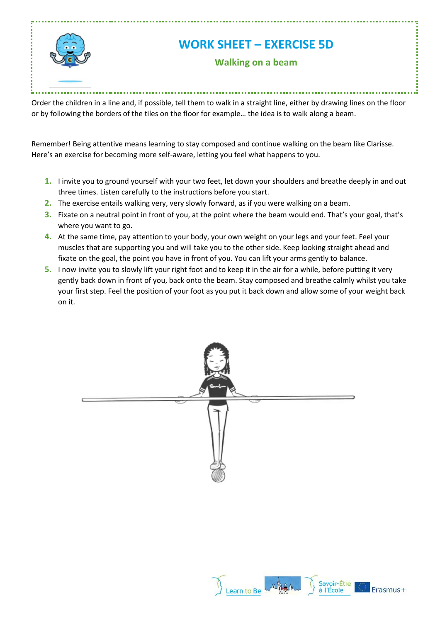

Order the children in a line and, if possible, tell them to walk in a straight line, either by drawing lines on the floor or by following the borders of the tiles on the floor for example… the idea is to walk along a beam.

Remember! Being attentive means learning to stay composed and continue walking on the beam like Clarisse. Here's an exercise for becoming more self-aware, letting you feel what happens to you.

- **1.** I invite you to ground yourself with your two feet, let down your shoulders and breathe deeply in and out three times. Listen carefully to the instructions before you start.
- **2.** The exercise entails walking very, very slowly forward, as if you were walking on a beam.
- **3.** Fixate on a neutral point in front of you, at the point where the beam would end. That's your goal, that's where you want to go.
- **4.** At the same time, pay attention to your body, your own weight on your legs and your feet. Feel your muscles that are supporting you and will take you to the other side. Keep looking straight ahead and fixate on the goal, the point you have in front of you. You can lift your arms gently to balance.
- **5.** I now invite you to slowly lift your right foot and to keep it in the air for a while, before putting it very gently back down in front of you, back onto the beam. Stay composed and breathe calmly whilst you take your first step. Feel the position of your foot as you put it back down and allow some of your weight back on it.